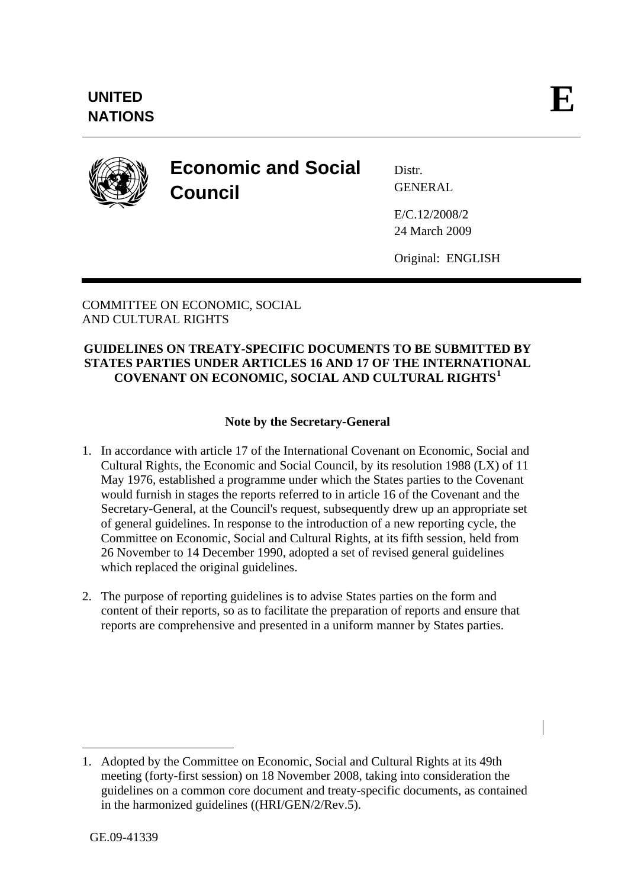

# **Economic and Social Council**

Distr. GENERAL

E/C.12/2008/2 24 March 2009

Original: ENGLISH

COMMITTEE ON ECONOMIC, SOCIAL AND CULTURAL RIGHTS

## **GUIDELINES ON TREATY-SPECIFIC DOCUMENTS TO BE SUBMITTED BY STATES PARTIES UNDER ARTICLES 16 AND 17 OF THE INTERNATIONAL COVENANT ON ECONOMIC, SOCIAL AND CULTURAL RIGHTS[1](#page-0-0)**

# **Note by the Secretary-General**

- 1. In accordance with article 17 of the International Covenant on Economic, Social and Cultural Rights, the Economic and Social Council, by its resolution 1988 (LX) of 11 May 1976, established a programme under which the States parties to the Covenant would furnish in stages the reports referred to in article 16 of the Covenant and the Secretary-General, at the Council's request, subsequently drew up an appropriate set of general guidelines. In response to the introduction of a new reporting cycle, the Committee on Economic, Social and Cultural Rights, at its fifth session, held from 26 November to 14 December 1990, adopted a set of revised general guidelines which replaced the original guidelines.
- 2. The purpose of reporting guidelines is to advise States parties on the form and content of their reports, so as to facilitate the preparation of reports and ensure that reports are comprehensive and presented in a uniform manner by States parties.

<span id="page-0-0"></span><sup>1.</sup> Adopted by the Committee on Economic, Social and Cultural Rights at its 49th meeting (forty-first session) on 18 November 2008, taking into consideration the guidelines on a common core document and treaty-specific documents, as contained in the harmonized guidelines ((HRI/GEN/2/Rev.5).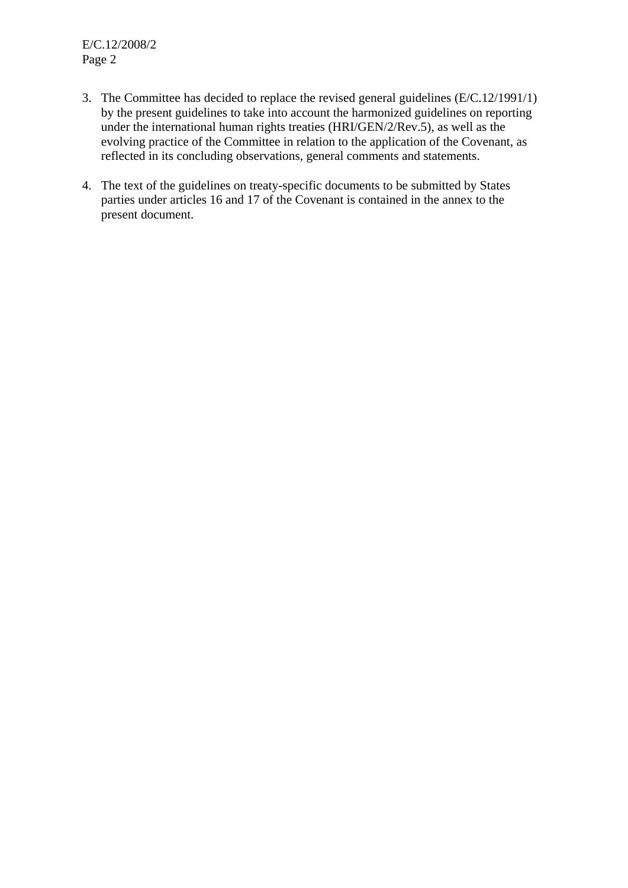- 3. The Committee has decided to replace the revised general guidelines (E/C.12/1991/1) by the present guidelines to take into account the harmonized guidelines on reporting under the international human rights treaties (HRI/GEN/2/Rev.5), as well as the evolving practice of the Committee in relation to the application of the Covenant, as reflected in its concluding observations, general comments and statements.
- 4. The text of the guidelines on treaty-specific documents to be submitted by States parties under articles 16 and 17 of the Covenant is contained in the annex to the present document.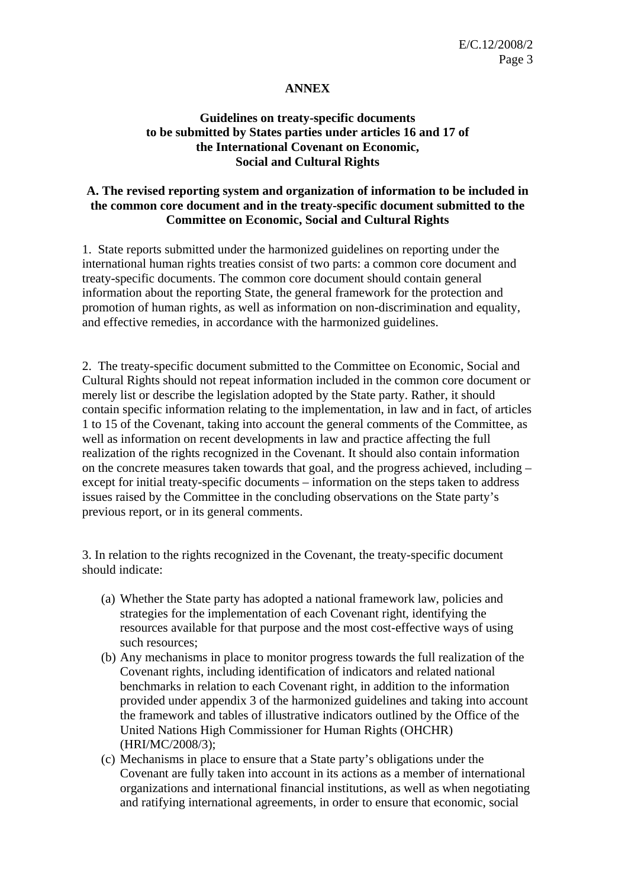#### **ANNEX**

## **Guidelines on treaty-specific documents to be submitted by States parties under articles 16 and 17 of the International Covenant on Economic, Social and Cultural Rights**

## **A. The revised reporting system and organization of information to be included in the common core document and in the treaty-specific document submitted to the Committee on Economic, Social and Cultural Rights**

1. State reports submitted under the harmonized guidelines on reporting under the international human rights treaties consist of two parts: a common core document and treaty-specific documents. The common core document should contain general information about the reporting State, the general framework for the protection and promotion of human rights, as well as information on non-discrimination and equality, and effective remedies, in accordance with the harmonized guidelines.

2. The treaty-specific document submitted to the Committee on Economic, Social and Cultural Rights should not repeat information included in the common core document or merely list or describe the legislation adopted by the State party. Rather, it should contain specific information relating to the implementation, in law and in fact, of articles 1 to 15 of the Covenant, taking into account the general comments of the Committee, as well as information on recent developments in law and practice affecting the full realization of the rights recognized in the Covenant. It should also contain information on the concrete measures taken towards that goal, and the progress achieved, including – except for initial treaty-specific documents – information on the steps taken to address issues raised by the Committee in the concluding observations on the State party's previous report, or in its general comments.

3. In relation to the rights recognized in the Covenant, the treaty-specific document should indicate:

- (a) Whether the State party has adopted a national framework law, policies and strategies for the implementation of each Covenant right, identifying the resources available for that purpose and the most cost-effective ways of using such resources;
- (b) Any mechanisms in place to monitor progress towards the full realization of the Covenant rights, including identification of indicators and related national benchmarks in relation to each Covenant right, in addition to the information provided under appendix 3 of the harmonized guidelines and taking into account the framework and tables of illustrative indicators outlined by the Office of the United Nations High Commissioner for Human Rights (OHCHR) (HRI/MC/2008/3);
- (c) Mechanisms in place to ensure that a State party's obligations under the Covenant are fully taken into account in its actions as a member of international organizations and international financial institutions, as well as when negotiating and ratifying international agreements, in order to ensure that economic, social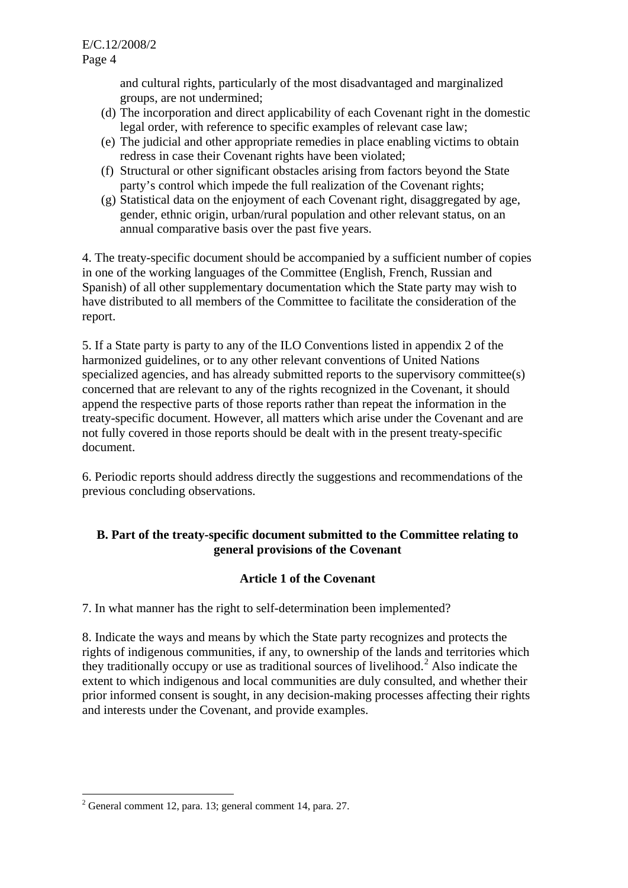and cultural rights, particularly of the most disadvantaged and marginalized groups, are not undermined;

- (d) The incorporation and direct applicability of each Covenant right in the domestic legal order, with reference to specific examples of relevant case law;
- (e) The judicial and other appropriate remedies in place enabling victims to obtain redress in case their Covenant rights have been violated;
- (f) Structural or other significant obstacles arising from factors beyond the State party's control which impede the full realization of the Covenant rights;
- (g) Statistical data on the enjoyment of each Covenant right, disaggregated by age, gender, ethnic origin, urban/rural population and other relevant status, on an annual comparative basis over the past five years.

4. The treaty-specific document should be accompanied by a sufficient number of copies in one of the working languages of the Committee (English, French, Russian and Spanish) of all other supplementary documentation which the State party may wish to have distributed to all members of the Committee to facilitate the consideration of the report.

5. If a State party is party to any of the ILO Conventions listed in appendix 2 of the harmonized guidelines, or to any other relevant conventions of United Nations specialized agencies, and has already submitted reports to the supervisory committee(s) concerned that are relevant to any of the rights recognized in the Covenant, it should append the respective parts of those reports rather than repeat the information in the treaty-specific document. However, all matters which arise under the Covenant and are not fully covered in those reports should be dealt with in the present treaty-specific document.

6. Periodic reports should address directly the suggestions and recommendations of the previous concluding observations.

## **B. Part of the treaty-specific document submitted to the Committee relating to general provisions of the Covenant**

## **Article 1 of the Covenant**

7. In what manner has the right to self-determination been implemented?

8. Indicate the ways and means by which the State party recognizes and protects the rights of indigenous communities, if any, to ownership of the lands and territories which they traditionally occupy or use as traditional sources of livelihood.<sup>[2](#page-3-0)</sup> Also indicate the extent to which indigenous and local communities are duly consulted, and whether their prior informed consent is sought, in any decision-making processes affecting their rights and interests under the Covenant, and provide examples.

<span id="page-3-0"></span> $2^2$  General comment 12, para. 13; general comment 14, para. 27.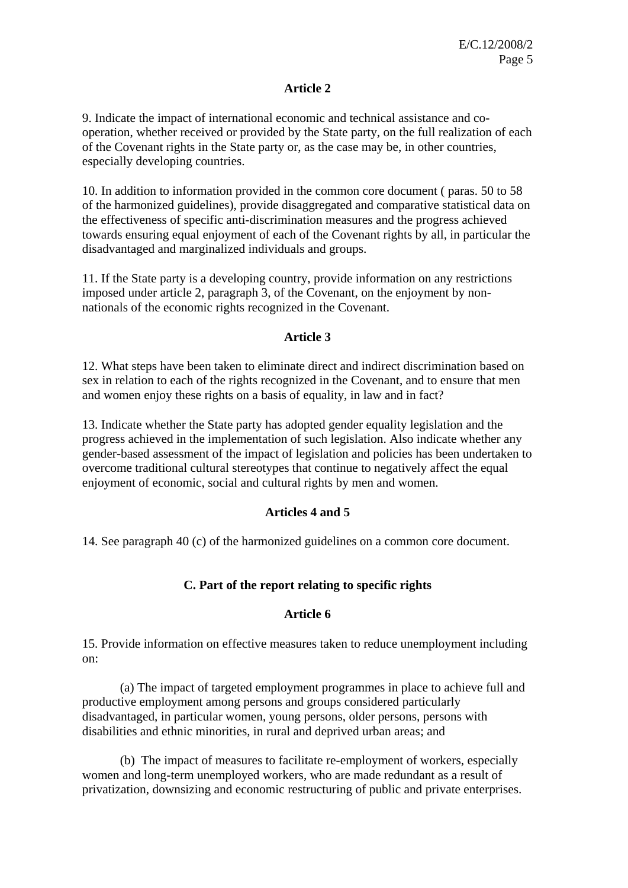#### **Article 2**

9. Indicate the impact of international economic and technical assistance and cooperation, whether received or provided by the State party, on the full realization of each of the Covenant rights in the State party or, as the case may be, in other countries, especially developing countries.

10. In addition to information provided in the common core document ( paras. 50 to 58 of the harmonized guidelines), provide disaggregated and comparative statistical data on the effectiveness of specific anti-discrimination measures and the progress achieved towards ensuring equal enjoyment of each of the Covenant rights by all, in particular the disadvantaged and marginalized individuals and groups.

11. If the State party is a developing country, provide information on any restrictions imposed under article 2, paragraph 3, of the Covenant, on the enjoyment by nonnationals of the economic rights recognized in the Covenant.

## **Article 3**

12. What steps have been taken to eliminate direct and indirect discrimination based on sex in relation to each of the rights recognized in the Covenant, and to ensure that men and women enjoy these rights on a basis of equality, in law and in fact?

13. Indicate whether the State party has adopted gender equality legislation and the progress achieved in the implementation of such legislation. Also indicate whether any gender-based assessment of the impact of legislation and policies has been undertaken to overcome traditional cultural stereotypes that continue to negatively affect the equal enjoyment of economic, social and cultural rights by men and women.

## **Articles 4 and 5**

14. See paragraph 40 (c) of the harmonized guidelines on a common core document.

## **C. Part of the report relating to specific rights**

#### **Article 6**

15. Provide information on effective measures taken to reduce unemployment including on:

 (a) The impact of targeted employment programmes in place to achieve full and productive employment among persons and groups considered particularly disadvantaged, in particular women, young persons, older persons, persons with disabilities and ethnic minorities, in rural and deprived urban areas; and

 (b) The impact of measures to facilitate re-employment of workers, especially women and long-term unemployed workers, who are made redundant as a result of privatization, downsizing and economic restructuring of public and private enterprises.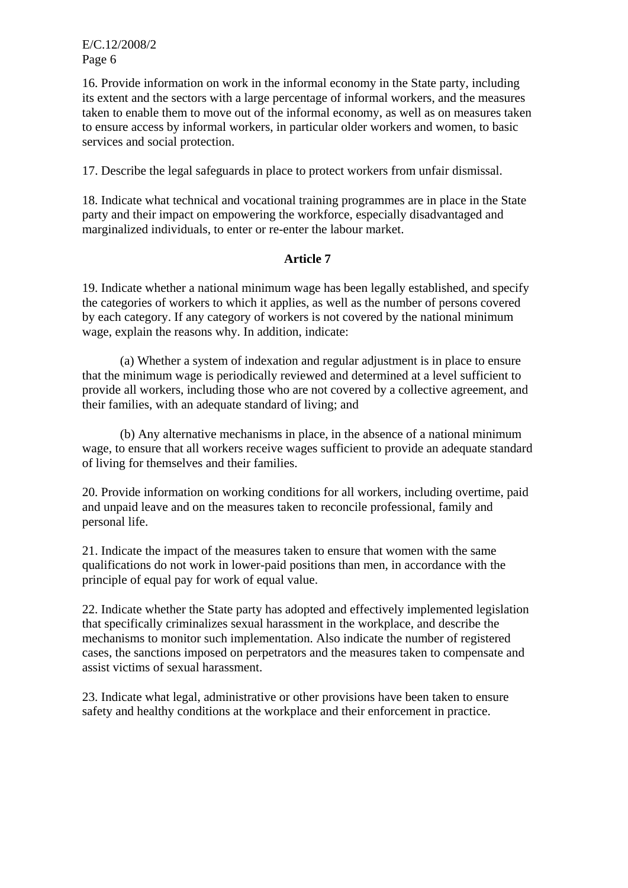16. Provide information on work in the informal economy in the State party, including its extent and the sectors with a large percentage of informal workers, and the measures taken to enable them to move out of the informal economy, as well as on measures taken to ensure access by informal workers, in particular older workers and women, to basic services and social protection.

17. Describe the legal safeguards in place to protect workers from unfair dismissal.

18. Indicate what technical and vocational training programmes are in place in the State party and their impact on empowering the workforce, especially disadvantaged and marginalized individuals, to enter or re-enter the labour market.

#### **Article 7**

19. Indicate whether a national minimum wage has been legally established, and specify the categories of workers to which it applies, as well as the number of persons covered by each category. If any category of workers is not covered by the national minimum wage, explain the reasons why. In addition, indicate:

 (a) Whether a system of indexation and regular adjustment is in place to ensure that the minimum wage is periodically reviewed and determined at a level sufficient to provide all workers, including those who are not covered by a collective agreement, and their families, with an adequate standard of living; and

 (b) Any alternative mechanisms in place, in the absence of a national minimum wage, to ensure that all workers receive wages sufficient to provide an adequate standard of living for themselves and their families.

20. Provide information on working conditions for all workers, including overtime, paid and unpaid leave and on the measures taken to reconcile professional, family and personal life.

21. Indicate the impact of the measures taken to ensure that women with the same qualifications do not work in lower-paid positions than men, in accordance with the principle of equal pay for work of equal value.

22. Indicate whether the State party has adopted and effectively implemented legislation that specifically criminalizes sexual harassment in the workplace, and describe the mechanisms to monitor such implementation. Also indicate the number of registered cases, the sanctions imposed on perpetrators and the measures taken to compensate and assist victims of sexual harassment.

23. Indicate what legal, administrative or other provisions have been taken to ensure safety and healthy conditions at the workplace and their enforcement in practice.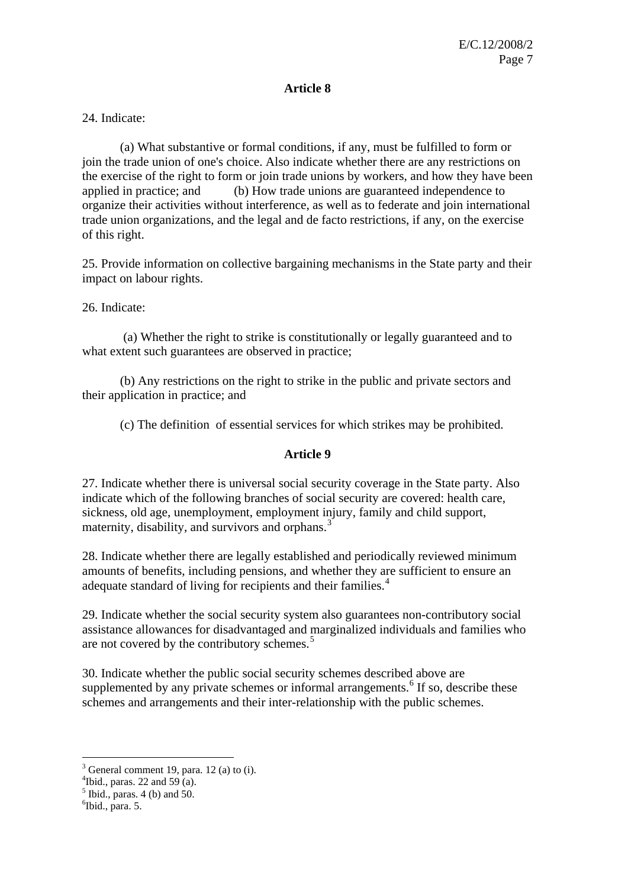#### **Article 8**

## 24. Indicate:

 (a) What substantive or formal conditions, if any, must be fulfilled to form or join the trade union of one's choice. Also indicate whether there are any restrictions on the exercise of the right to form or join trade unions by workers, and how they have been applied in practice; and (b) How trade unions are guaranteed independence to organize their activities without interference, as well as to federate and join international trade union organizations, and the legal and de facto restrictions, if any, on the exercise of this right.

25. Provide information on collective bargaining mechanisms in the State party and their impact on labour rights.

26. Indicate:

 (a) Whether the right to strike is constitutionally or legally guaranteed and to what extent such guarantees are observed in practice;

 (b) Any restrictions on the right to strike in the public and private sectors and their application in practice; and

(c) The definition of essential services for which strikes may be prohibited.

## **Article 9**

27. Indicate whether there is universal social security coverage in the State party. Also indicate which of the following branches of social security are covered: health care, sickness, old age, unemployment, employment injury, family and child support, maternity, disability, and survivors and orphans.<sup>[3](#page-6-0)</sup>

28. Indicate whether there are legally established and periodically reviewed minimum amounts of benefits, including pensions, and whether they are sufficient to ensure an adequate standard of living for recipients and their families.<sup>[4](#page-6-1)</sup>

29. Indicate whether the social security system also guarantees non-contributory social assistance allowances for disadvantaged and marginalized individuals and families who are not covered by the contributory schemes.<sup>[5](#page-6-2)</sup>

30. Indicate whether the public social security schemes described above are supplemented by any private schemes or informal arrangements.<sup>[6](#page-6-3)</sup> If so, describe these schemes and arrangements and their inter-relationship with the public schemes.

<span id="page-6-0"></span> $3$  General comment 19, para. 12 (a) to (i).

<span id="page-6-1"></span> $4$ Ibid., paras. 22 and 59 (a).

<span id="page-6-2"></span> $<sup>5</sup>$  Ibid., paras. 4 (b) and 50.</sup>

<span id="page-6-3"></span> $6$ Ibid., para. 5.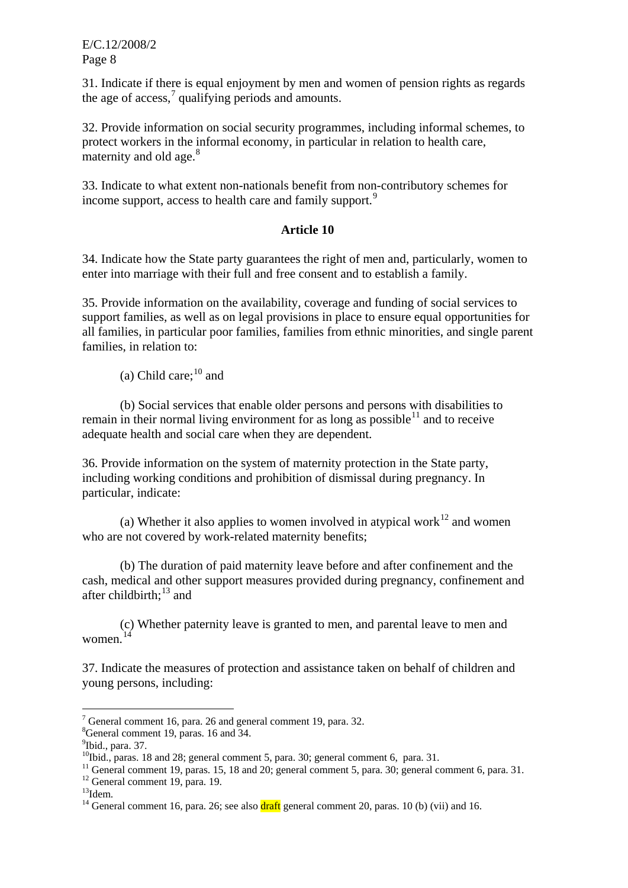31. Indicate if there is equal enjoyment by men and women of pension rights as regards the age of  $access$ ,<sup>[7](#page-7-0)</sup> qualifying periods and amounts.

32. Provide information on social security programmes, including informal schemes, to protect workers in the informal economy, in particular in relation to health care, maternity and old age.<sup>[8](#page-7-1)</sup>

33. Indicate to what extent non-nationals benefit from non-contributory schemes for income support, access to health care and family support.<sup>[9](#page-7-2)</sup>

#### **Article 10**

34. Indicate how the State party guarantees the right of men and, particularly, women to enter into marriage with their full and free consent and to establish a family.

35. Provide information on the availability, coverage and funding of social services to support families, as well as on legal provisions in place to ensure equal opportunities for all families, in particular poor families, families from ethnic minorities, and single parent families, in relation to:

(a) Child care: $^{10}$  $^{10}$  $^{10}$  and

 (b) Social services that enable older persons and persons with disabilities to remain in their normal living environment for as long as possible<sup>[1](#page-7-4)1</sup> and to receive adequate health and social care when they are dependent.

36. Provide information on the system of maternity protection in the State party, including working conditions and prohibition of dismissal during pregnancy. In particular, indicate:

(a) Whether it also applies to women involved in atypical work<sup>[12](#page-7-5)</sup> and women who are not covered by work-related maternity benefits;

 (b) The duration of paid maternity leave before and after confinement and the cash, medical and other support measures provided during pregnancy, confinement and after childbirth; $^{13}$  $^{13}$  $^{13}$  and

 (c) Whether paternity leave is granted to men, and parental leave to men and women. [14](#page-7-7)

37. Indicate the measures of protection and assistance taken on behalf of children and young persons, including:

 $7$  General comment 16, para. 26 and general comment 19, para. 32.

<span id="page-7-1"></span><span id="page-7-0"></span><sup>8</sup> General comment 19, paras. 16 and 34.

<span id="page-7-2"></span> $<sup>9</sup>$ Ibid., para. 37.</sup>

<span id="page-7-3"></span> $10$ Ibid., paras. 18 and 28; general comment 5, para. 30; general comment 6, para. 31.

<span id="page-7-4"></span><sup>11</sup> General comment 19, paras. 15, 18 and 20; general comment 5, para. 30; general comment 6, para. 31.<br><sup>12</sup> General comment 19, para. 19.

<span id="page-7-6"></span><span id="page-7-5"></span> $13$ Idem.

<span id="page-7-7"></span><sup>&</sup>lt;sup>14</sup> General comment 16, para. 26; see also  $\frac{draff}{dr}$  general comment 20, paras. 10 (b) (vii) and 16.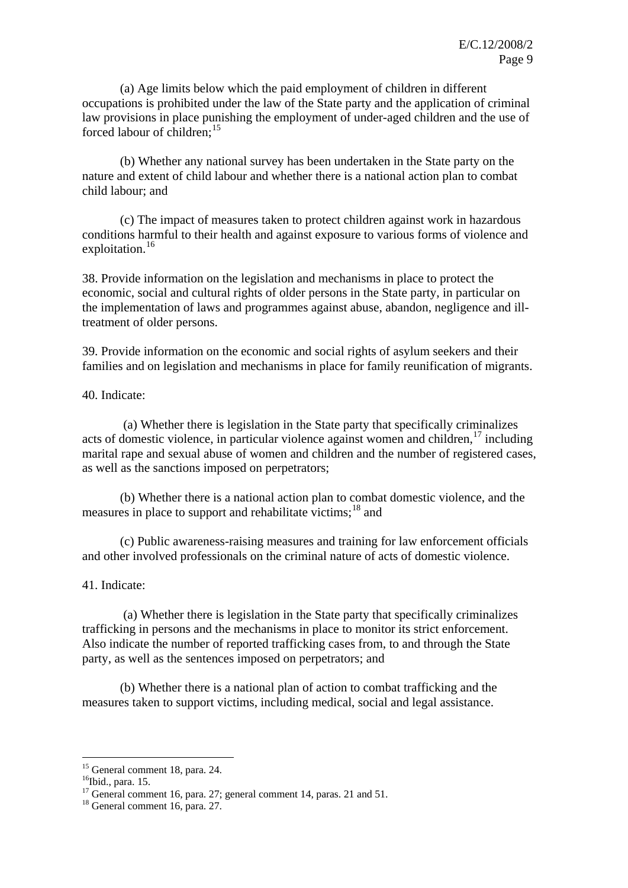(a) Age limits below which the paid employment of children in different occupations is prohibited under the law of the State party and the application of criminal law provisions in place punishing the employment of under-aged children and the use of forced labour of children; $15$  $15$ 

 (b) Whether any national survey has been undertaken in the State party on the nature and extent of child labour and whether there is a national action plan to combat child labour; and

 (c) The impact of measures taken to protect children against work in hazardous conditions harmful to their health and against exposure to various forms of violence and exploitation.<sup>[16](#page-8-1)</sup>

38. Provide information on the legislation and mechanisms in place to protect the economic, social and cultural rights of older persons in the State party, in particular on the implementation of laws and programmes against abuse, abandon, negligence and illtreatment of older persons.

39. Provide information on the economic and social rights of asylum seekers and their families and on legislation and mechanisms in place for family reunification of migrants.

40. Indicate:

 (a) Whether there is legislation in the State party that specifically criminalizes acts of domestic violence, in particular violence against women and children, $17$  including marital rape and sexual abuse of women and children and the number of registered cases, as well as the sanctions imposed on perpetrators;

 (b) Whether there is a national action plan to combat domestic violence, and the measures in place to support and rehabilitate victims;<sup>[1](#page-8-3)8</sup> and

 (c) Public awareness-raising measures and training for law enforcement officials and other involved professionals on the criminal nature of acts of domestic violence.

#### 41. Indicate:

 (a) Whether there is legislation in the State party that specifically criminalizes trafficking in persons and the mechanisms in place to monitor its strict enforcement. Also indicate the number of reported trafficking cases from, to and through the State party, as well as the sentences imposed on perpetrators; and

 (b) Whether there is a national plan of action to combat trafficking and the measures taken to support victims, including medical, social and legal assistance.

<sup>&</sup>lt;sup>15</sup> General comment 18, para. 24.

<span id="page-8-1"></span><span id="page-8-0"></span><sup>&</sup>lt;sup>16</sup>Ibid., para. 15.

<span id="page-8-2"></span><sup>&</sup>lt;sup>17</sup> General comment 16, para. 27; general comment 14, paras. 21 and 51.

<span id="page-8-3"></span><sup>18</sup> General comment 16, para. 27.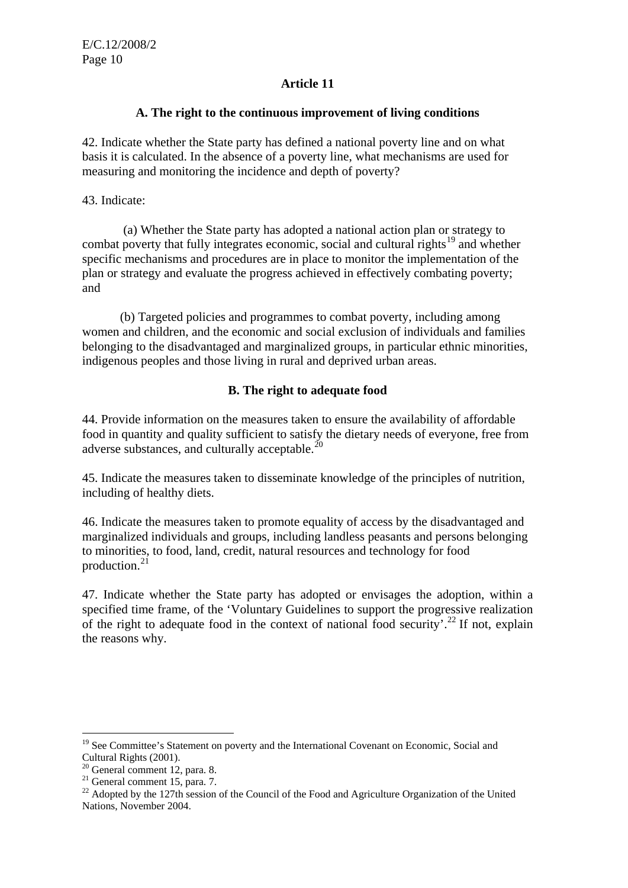## **Article 11**

#### **A. The right to the continuous improvement of living conditions**

42. Indicate whether the State party has defined a national poverty line and on what basis it is calculated. In the absence of a poverty line, what mechanisms are used for measuring and monitoring the incidence and depth of poverty?

## 43. Indicate:

 (a) Whether the State party has adopted a national action plan or strategy to combat poverty that fully integrates economic, social and cultural rights<sup>[19](#page-9-0)</sup> and whether specific mechanisms and procedures are in place to monitor the implementation of the plan or strategy and evaluate the progress achieved in effectively combating poverty; and

 (b) Targeted policies and programmes to combat poverty, including among women and children, and the economic and social exclusion of individuals and families belonging to the disadvantaged and marginalized groups, in particular ethnic minorities, indigenous peoples and those living in rural and deprived urban areas.

## **B. The right to adequate food**

44. Provide information on the measures taken to ensure the availability of affordable food in quantity and quality sufficient to satisfy the dietary needs of everyone, free from adverse substances, and culturally acceptable. $^{20}$  $^{20}$  $^{20}$ 

45. Indicate the measures taken to disseminate knowledge of the principles of nutrition, including of healthy diets.

46. Indicate the measures taken to promote equality of access by the disadvantaged and marginalized individuals and groups, including landless peasants and persons belonging to minorities, to food, land, credit, natural resources and technology for food production.<sup>[2](#page-9-2)1</sup>

47. Indicate whether the State party has adopted or envisages the adoption, within a specified time frame, of the 'Voluntary Guidelines to support the progressive realization of the right to adequate food in the context of national food security'.<sup>[22](#page-9-3)</sup> If not, explain the reasons why.

<span id="page-9-0"></span><sup>&</sup>lt;sup>19</sup> See Committee's Statement on poverty and the International Covenant on Economic, Social and Cultural Rights (2001).

<sup>&</sup>lt;sup>20</sup> General comment 12, para. 8.

<span id="page-9-2"></span><span id="page-9-1"></span> $21$  General comment 15, para. 7.

<span id="page-9-3"></span><sup>&</sup>lt;sup>22</sup> Adopted by the 127th session of the Council of the Food and Agriculture Organization of the United Nations, November 2004.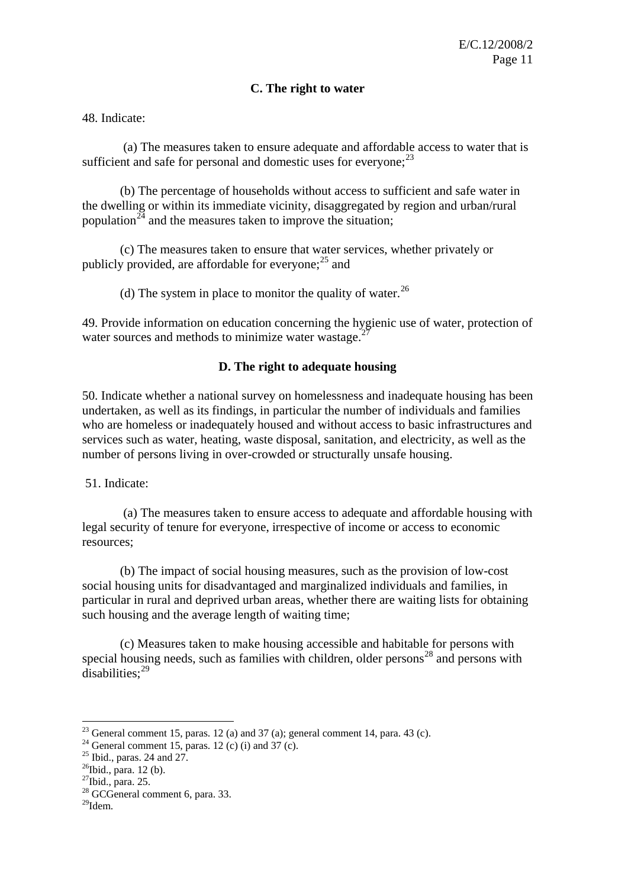## **C. The right to water**

#### 48. Indicate:

 (a) The measures taken to ensure adequate and affordable access to water that is sufficient and safe for personal and domestic uses for everyone; $^{23}$  $^{23}$  $^{23}$ 

 (b) The percentage of households without access to sufficient and safe water in the dwelling or within its immediate vicinity, disaggregated by region and urban/rural population<sup> $24$ </sup> and the measures taken to improve the situation;

 (c) The measures taken to ensure that water services, whether privately or publicly provided, are affordable for everyone; $^{25}$  $^{25}$  $^{25}$  and

(d) The system in place to monitor the quality of water.  $^{26}$  $^{26}$  $^{26}$ 

49. Provide information on education concerning the hygienic use of water, protection of water sources and methods to minimize water wastage.<sup>2</sup>

#### **D. The right to adequate housing**

50. Indicate whether a national survey on homelessness and inadequate housing has been undertaken, as well as its findings, in particular the number of individuals and families who are homeless or inadequately housed and without access to basic infrastructures and services such as water, heating, waste disposal, sanitation, and electricity, as well as the number of persons living in over-crowded or structurally unsafe housing.

51. Indicate:

 (a) The measures taken to ensure access to adequate and affordable housing with legal security of tenure for everyone, irrespective of income or access to economic resources;

 (b) The impact of social housing measures, such as the provision of low-cost social housing units for disadvantaged and marginalized individuals and families, in particular in rural and deprived urban areas, whether there are waiting lists for obtaining such housing and the average length of waiting time;

 (c) Measures taken to make housing accessible and habitable for persons with special housing needs, such as families with children, older persons<sup>[28](#page-10-5)</sup> and persons with disabilities:<sup>[29](#page-10-6)</sup>

<sup>&</sup>lt;sup>23</sup> General comment 15, paras. 12 (a) and 37 (a); general comment 14, para. 43 (c).  $^{24}$  General comment 15, paras. 12 (c) (i) and 37 (c).

<span id="page-10-1"></span><span id="page-10-0"></span><sup>&</sup>lt;sup>24</sup> General comment 15, paras. 12 (c) (i) and 37 (c).<br><sup>25</sup> Ibid., paras. 24 and 27.

<span id="page-10-3"></span><span id="page-10-2"></span> $26$ Ibid., para. 12 (b).

<span id="page-10-4"></span> $27$ Ibid., para. 25.

<span id="page-10-5"></span> $28$  GCGeneral comment 6, para. 33.

<span id="page-10-6"></span><sup>29</sup>Idem.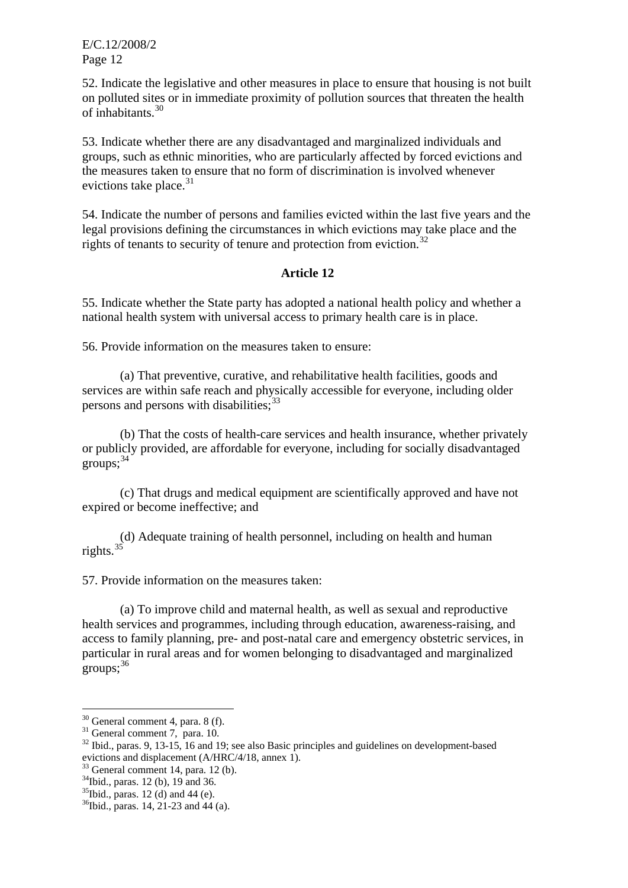52. Indicate the legislative and other measures in place to ensure that housing is not built on polluted sites or in immediate proximity of pollution sources that threaten the health of inhabitants.[3](#page-11-0)0

53. Indicate whether there are any disadvantaged and marginalized individuals and groups, such as ethnic minorities, who are particularly affected by forced evictions and the measures taken to ensure that no form of discrimination is involved whenever evictions take place.<sup>[3](#page-11-1)1</sup>

54. Indicate the number of persons and families evicted within the last five years and the legal provisions defining the circumstances in which evictions may take place and the rights of tenants to security of tenure and protection from eviction.<sup>[3](#page-11-2)2</sup>

#### **Article 12**

55. Indicate whether the State party has adopted a national health policy and whether a national health system with universal access to primary health care is in place.

56. Provide information on the measures taken to ensure:

 (a) That preventive, curative, and rehabilitative health facilities, goods and services are within safe reach and physically accessible for everyone, including older persons and persons with disabilities;  $33$ 

 (b) That the costs of health-care services and health insurance, whether privately or publicly provided, are affordable for everyone, including for socially disadvantaged groups: $34$  $34$ 

 (c) That drugs and medical equipment are scientifically approved and have not expired or become ineffective; and

 (d) Adequate training of health personnel, including on health and human rights.<sup>[35](#page-11-5)</sup>

57. Provide information on the measures taken:

 (a) To improve child and maternal health, as well as sexual and reproductive health services and programmes, including through education, awareness-raising, and access to family planning, pre- and post-natal care and emergency obstetric services, in particular in rural areas and for women belonging to disadvantaged and marginalized groups; $36$  $36$ 

 $30$  General comment 4, para. 8 (f).

<span id="page-11-1"></span><span id="page-11-0"></span> $31$  General comment 7, para. 10.

<span id="page-11-2"></span><sup>&</sup>lt;sup>32</sup> Ibid., paras. 9, 13-15, 16 and 19; see also Basic principles and guidelines on development-based evictions and displacement (A/HRC/4/18, annex 1).<br><sup>33</sup> General comment 14, para. 12 (b).

<span id="page-11-3"></span>

<span id="page-11-4"></span><sup>&</sup>lt;sup>34</sup>Ibid., paras. 12 (b), 19 and 36.

<span id="page-11-5"></span> $35$ Ibid., paras. 12 (d) and 44 (e).

<span id="page-11-6"></span><sup>&</sup>lt;sup>36</sup>Ibid., paras. 14, 21-23 and 44 (a).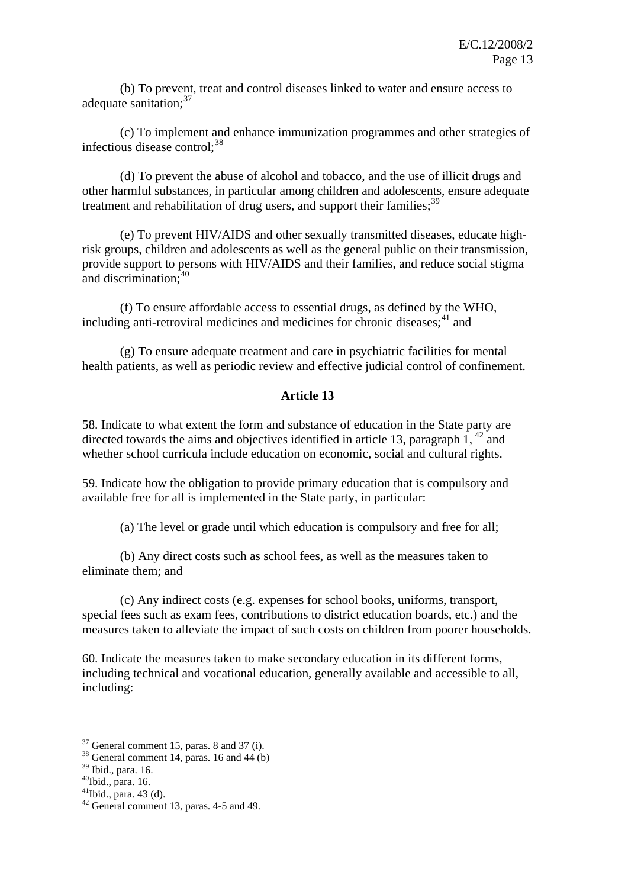(b) To prevent, treat and control diseases linked to water and ensure access to adequate sanitation: $37$  $37$ 

 (c) To implement and enhance immunization programmes and other strategies of infectious disease control; $38$ 

 (d) To prevent the abuse of alcohol and tobacco, and the use of illicit drugs and other harmful substances, in particular among children and adolescents, ensure adequate treatment and rehabilitation of drug users, and support their families;  $39$  $39$ 

 (e) To prevent HIV/AIDS and other sexually transmitted diseases, educate highrisk groups, children and adolescents as well as the general public on their transmission, provide support to persons with HIV/AIDS and their families, and reduce social stigma and discrimination:<sup>[4](#page-12-3)0</sup>

 (f) To ensure affordable access to essential drugs, as defined by the WHO, including anti-retroviral medicines and medicines for chronic diseases;  $41$  and

 (g) To ensure adequate treatment and care in psychiatric facilities for mental health patients, as well as periodic review and effective judicial control of confinement.

## **Article 13**

58. Indicate to what extent the form and substance of education in the State party are directed towards the aims and objectives identified in article 13, paragraph  $1,^{42}$  $1,^{42}$  $1,^{42}$  and whether school curricula include education on economic, social and cultural rights.

59. Indicate how the obligation to provide primary education that is compulsory and available free for all is implemented in the State party, in particular:

(a) The level or grade until which education is compulsory and free for all;

 (b) Any direct costs such as school fees, as well as the measures taken to eliminate them; and

 (c) Any indirect costs (e.g. expenses for school books, uniforms, transport, special fees such as exam fees, contributions to district education boards, etc.) and the measures taken to alleviate the impact of such costs on children from poorer households.

60. Indicate the measures taken to make secondary education in its different forms, including technical and vocational education, generally available and accessible to all, including:

 $37$  General comment 15, paras. 8 and 37 (i).

<span id="page-12-1"></span><span id="page-12-0"></span><sup>38</sup> General comment 14, paras. 16 and 44 (b)

<span id="page-12-2"></span><sup>39</sup> Ibid., para. 16.

<span id="page-12-3"></span><sup>40</sup>Ibid., para. 16.

<span id="page-12-4"></span> $41$ Ibid., para. 43 (d).

<span id="page-12-5"></span> $42$  General comment 13, paras. 4-5 and 49.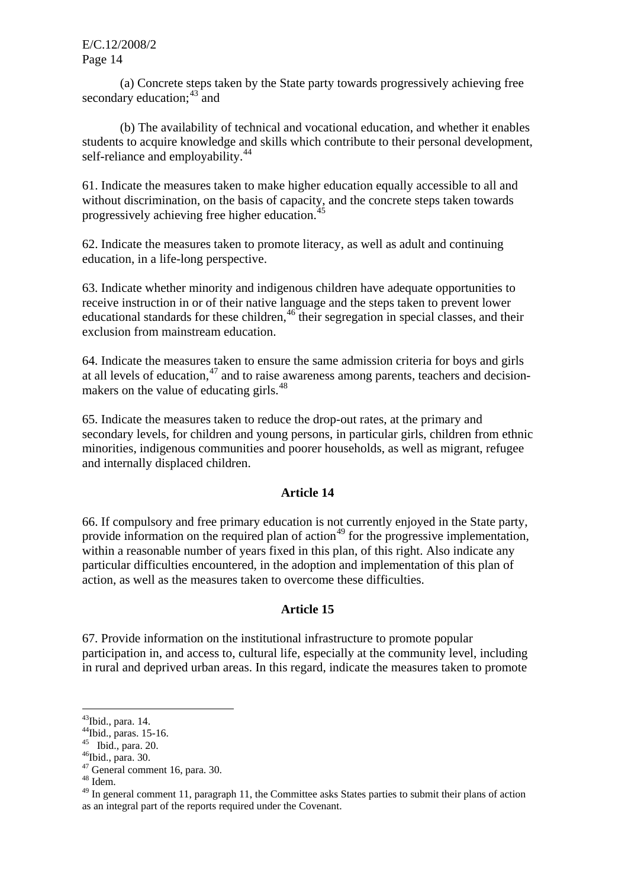(a) Concrete steps taken by the State party towards progressively achieving free secondary education;  $43$  $43$  and

 (b) The availability of technical and vocational education, and whether it enables students to acquire knowledge and skills which contribute to their personal development, self-reliance and employability.<sup>[44](#page-13-1)</sup>

61. Indicate the measures taken to make higher education equally accessible to all and without discrimination, on the basis of capacity, and the concrete steps taken towards progressively achieving free higher education.<sup>[45](#page-13-2)</sup>

62. Indicate the measures taken to promote literacy, as well as adult and continuing education, in a life-long perspective.

63. Indicate whether minority and indigenous children have adequate opportunities to receive instruction in or of their native language and the steps taken to prevent lower educational standards for these children,  $46$  $46$  their segregation in special classes, and their exclusion from mainstream education.

64. Indicate the measures taken to ensure the same admission criteria for boys and girls at all levels of education,  $47$  and to raise awareness among parents, teachers and decision-makers on the value of educating girls.<sup>[48](#page-13-5)</sup>

65. Indicate the measures taken to reduce the drop-out rates, at the primary and secondary levels, for children and young persons, in particular girls, children from ethnic minorities, indigenous communities and poorer households, as well as migrant, refugee and internally displaced children.

#### **Article 14**

66. If compulsory and free primary education is not currently enjoyed in the State party, provide information on the required plan of action<sup>[4](#page-13-6)9</sup> for the progressive implementation, within a reasonable number of years fixed in this plan, of this right. Also indicate any particular difficulties encountered, in the adoption and implementation of this plan of action, as well as the measures taken to overcome these difficulties.

## **Article 15**

67. Provide information on the institutional infrastructure to promote popular participation in, and access to, cultural life, especially at the community level, including in rural and deprived urban areas. In this regard, indicate the measures taken to promote

<sup>1</sup> 43Ibid., para. 14.

<span id="page-13-1"></span><span id="page-13-0"></span><sup>44</sup>Ibid., paras. 15-16.

<span id="page-13-2"></span><sup>45</sup> Ibid., para. 20.

<span id="page-13-3"></span><sup>46</sup>Ibid., para. 30.

<span id="page-13-4"></span> $47$  General comment 16, para. 30.

 $48$  Idem.

<span id="page-13-6"></span><span id="page-13-5"></span><sup>&</sup>lt;sup>49</sup> In general comment 11, paragraph 11, the Committee asks States parties to submit their plans of action as an integral part of the reports required under the Covenant.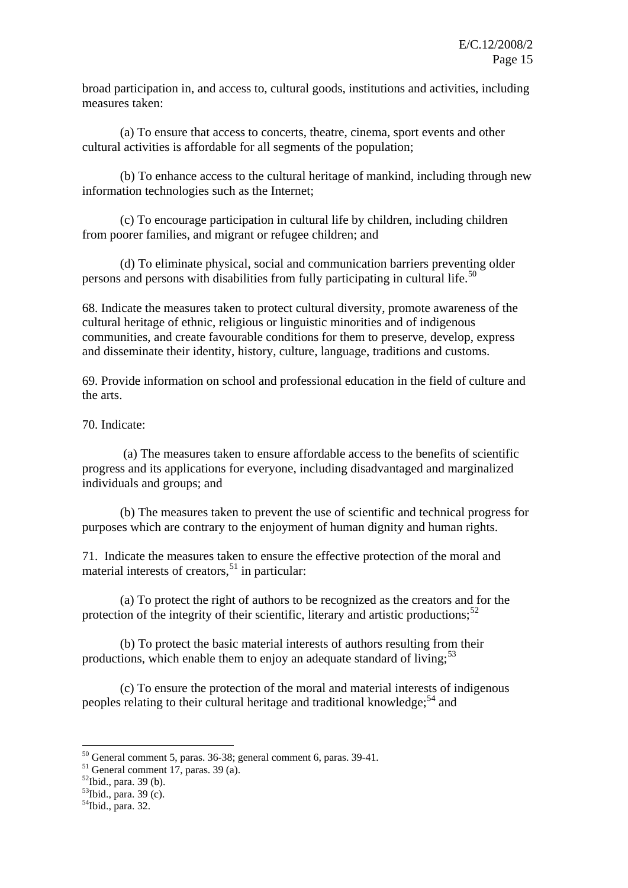broad participation in, and access to, cultural goods, institutions and activities, including measures taken:

 (a) To ensure that access to concerts, theatre, cinema, sport events and other cultural activities is affordable for all segments of the population;

 (b) To enhance access to the cultural heritage of mankind, including through new information technologies such as the Internet;

 (c) To encourage participation in cultural life by children, including children from poorer families, and migrant or refugee children; and

 (d) To eliminate physical, social and communication barriers preventing older persons and persons with disabilities from fully participating in cultural life.<sup>[5](#page-14-0)0</sup>

68. Indicate the measures taken to protect cultural diversity, promote awareness of the cultural heritage of ethnic, religious or linguistic minorities and of indigenous communities, and create favourable conditions for them to preserve, develop, express and disseminate their identity, history, culture, language, traditions and customs.

69. Provide information on school and professional education in the field of culture and the arts.

70. Indicate:

 (a) The measures taken to ensure affordable access to the benefits of scientific progress and its applications for everyone, including disadvantaged and marginalized individuals and groups; and

 (b) The measures taken to prevent the use of scientific and technical progress for purposes which are contrary to the enjoyment of human dignity and human rights.

71. Indicate the measures taken to ensure the effective protection of the moral and material interests of creators.<sup>[51](#page-14-1)</sup> in particular:

 (a) To protect the right of authors to be recognized as the creators and for the protection of the integrity of their scientific, literary and artistic productions; $5<sup>2</sup>$  $5<sup>2</sup>$ 

 (b) To protect the basic material interests of authors resulting from their productions, which enable them to enjoy an adequate standard of living;<sup>[53](#page-14-3)</sup>

 (c) To ensure the protection of the moral and material interests of indigenous peoples relating to their cultural heritage and traditional knowledge;<sup>[54](#page-14-4)</sup> and

 $50$  General comment 5, paras. 36-38; general comment 6, paras. 39-41.

<span id="page-14-1"></span><span id="page-14-0"></span> $51$  General comment 17, paras. 39 (a).

<span id="page-14-2"></span> $52$ Ibid., para. 39 (b).

<span id="page-14-3"></span><sup>53</sup>Ibid., para. 39 (c).

<span id="page-14-4"></span><sup>&</sup>lt;sup>54</sup>Ibid., para. 32.